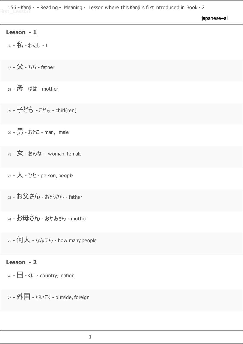|  | japanese4al |  |
|--|-------------|--|
|  |             |  |
|  |             |  |

#### **Lesson - 1**

66 - 私 - わたし - I

<sup>67</sup> - 父- ちち - father

<sup>68</sup> - 母- はは - mother

<sup>69</sup> - 子ども - こども - child(ren)

<sup>70</sup> - 男- おとこ - man, male

 $71 -$ 女 - おんな - woman, female

<sup>72</sup> - 人- ひと - person, people

<sup>73</sup> - お父さん - おとうさん - father

74 - お母さん - おかあさん - mother

 $75 - 11$  -  $\pi h$  -  $h$  - how many people

#### **Lesson - 2**

 $76 - 1$  -  $\langle$  C - country, nation

 $77 -$ 外国 - がいこく - outside, foreign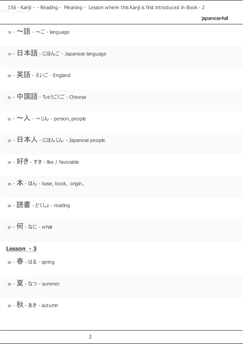japanese4all

$$
_{78} - \bullet \overline{{\bf \bar{f}\bar{f}\bar{f}}}\cdot \sim \overline{\bf \Xi} - {\bf \bar{l}}\hbox{anguage}
$$

<sup>79</sup> - 日本語 - にほんご - Japanese language

<sup>80</sup> - 英語 - えいご - England

<sup>81</sup> - 中国語 - ちゅうごくご - Chinese

 $82 - 4\lambda - 5$ じん - person, people

83 - 日本人 - にほんじん - Japanese people

84 - 好き - すき - like / favorable

 $85 -$ 本 - ほん - base, book, origin、

<sup>86</sup> - 読書 - どくしょ - reading

87 - 何 - なに - what

# **Lesson - 3**

<sup>88</sup> - 春- はる - spring

<sup>89</sup> - 夏- なつ - summer

<sup>90</sup> - 秋- あき - autumn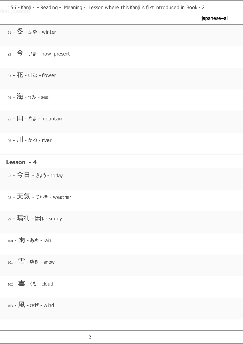|  | japanese4all |  |
|--|--------------|--|
|  |              |  |
|  |              |  |

| $91 - $ 冬 - ふゆ - winter                  |
|------------------------------------------|
| $92 - 2 + 1$ + $\sqrt{7}$ - now, present |
| <sub>93</sub> - 花 - はな - flower          |
| 94 - 海 - うみ - sea                        |
| $95 - 1$ - やま - mountain                 |
| 96 - 川 - かわ - river                      |
| Lesson - 4                               |
| 97 - 今日 - きょう - today                    |
| 98 - 天気 - てんき - weather                  |
| 99 - 晴れ - はれ - sunny                     |
| 100 - 雨 - あめ - rain                      |
| 101 - 雪 - ゆき - snow                      |
| 102 - 雲 - くも - cloud                     |
| 103 - 風 - かぜ - wind                      |
|                                          |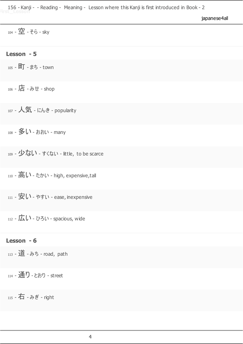| japanese4al |  |
|-------------|--|

104 - 空 - そら - sky

## **Lesson - 5**

105 - 町 - まち - town

<sup>106</sup> - 店 - みせ - shop

<sup>107</sup> - 人気 - にんき - popularity

108 - 多い - おおい - many

109 - 少ない - すくない - little, to be scarce

110 - 高い - たかい - high, expensive,tall

111 - 安い - やすい - ease, inexpensive

112 -  $\overline{L}$ い - ひろい - spacious, wide

### **Lesson - 6**

113 - 道 - みち - road, path

114 - 通り - とおり - street

<sup>115</sup> - 右 - みぎ - right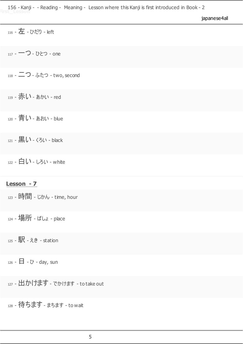|  |  | japanese4all |
|--|--|--------------|
|  |  |              |

| 116 - 左 - ひだり - left                    |
|-----------------------------------------|
| 117 - 一つ - ひとつ - one                    |
| 118 - 二つ - ふたつ - two, second            |
| 119 - 赤い - ぁゕぃ - red                    |
| 120 - 青い - あおい - blue                   |
| 121 - 黒い - くろい - black                  |
| 122 - 白い - しろい - white                  |
| Lesson - 7                              |
| $_{123}$ - 時間 - じかん - time, hour        |
| 124 - 場所 - ばしょ - place                  |
| 125 - 駅 - えき - station                  |
| $_{126}$ - $\Box$ - $\sigma$ - day, sun |

127 - 出かけます - でかけます - to take out

- 待ちます - まちます - to wait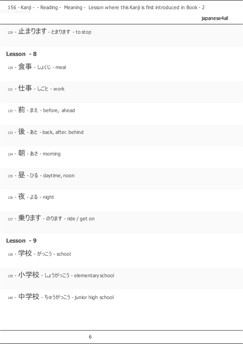|  |  | japanese4al |
|--|--|-------------|
|  |  |             |
|  |  |             |

| 129 - 止まります - とまります - to stop |  |  |
|-------------------------------|--|--|
|-------------------------------|--|--|

## **Lesson - 8**

130 - 食事 - しょくじ - meal

<sup>131</sup> - 仕事 - しごと - work

132 - **前** - まえ - before, ahead

<sup>133</sup> - 後 - あと - back, after. behind

134 - 朝 - あさ - morning

<sup>135</sup> - 昼 - ひる - daytime, noon

136 - 夜 - よる - night

137 - 乗ります - のります - ride / get on

### **Lesson - 9**

<sup>138</sup> - 学校 - がっこう - school

139 - 小学校 - しょうがっこう - elementary school

<sup>140</sup> - 中学校 - ちゅうがっこう - junior high school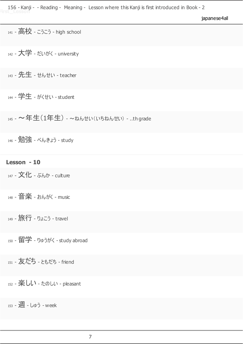japanese4all

141 - 高校 - こうこう - high school

<sup>142</sup> - 大学 - だいがく - university

<sup>143</sup> - 先生 - せんせい - teacher

<sup>144</sup> - 学生 - がくせい - student

145 - ~年生(1年生) - ~ねんせい(いちねんせい) - ..th grade

<sup>146</sup> - 勉強 - べんきょう - study

**Lesson - 10**

147 - 文化 - ぶんか - culture

<sup>148</sup> - 音楽 - おんがく - music

<sup>149</sup> - 旅行 - りょこう - travel

<sup>150</sup> - 留学 - りゅうがく - study abroad

<sup>151</sup> - 友だち - ともだち - friend

 $_{152}$  - 楽しい - たのしい - pleasant

153 - 週 - しゅう - week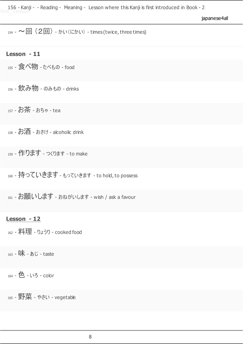japanese4all

 $_{154}$  -  $\sim$  回 (2回) - かい(にかい) - times (twice, three times)

### **Lesson - 11**

<sup>155</sup> - 食べ物 - たべもの - food

156 - 飲み物 - のみもの - drinks

<sup>157</sup> - お茶 - おちゃ - tea

 $158 - 158$  - おさけ - alcoholic drink

<sup>159</sup> - 作ります - つくります - to make

160 - 持っていきます - もっていきます - to hold, to possess

161 - お願いします - おねがいします - wish / ask a favour

#### **Lesson - 12**

<sup>162</sup> - 料理 - りょうり - cooked food

163 - 味 - ぁじ - taste

<sup>164</sup> - 色 - いろ - color

<sup>165</sup> - 野菜 - やさい - vegetable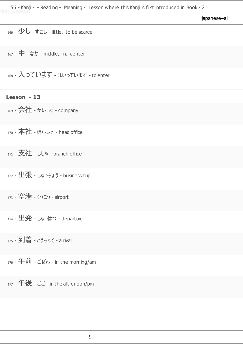japanese4all

166 -  $\mathcal{D}$  - すこし - little, to be scarce

<sup>167</sup> - 中 - なか - middle, in, center

168 - 入っています - はいっています - to enter

#### **Lesson - 13**

<sup>169</sup> - 会社 - かいしゃ - company

<sup>170</sup> - 本社 - ほんしゃ - head office

<sup>171</sup> - 支社 - ししゃ - branch office

172 - 出張 - しゅっちょう - business trip

173 - 空港 - くうこう - airport

 $_{174}$  -  $\pm 3$  -  $_{\text{Lip}}$  -  $_{\text{Lip}}$  - departure

<sup>175</sup> - 到着 - とうちゃく - arrival

 $176$  - 午前 - ごぜん - in the morning/am

<sup>177</sup> - 午後 - ごご - in the aftrenoon/pm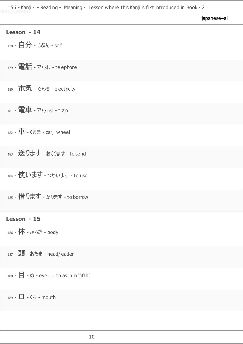japanese4all

#### **Lesson - 14**

<sup>178</sup> - 自分 - じぶん - self

<sup>179</sup> - 電話 - でんわ - telephone

<sup>180</sup> - 電気 - でんき - electricity

<sup>181</sup> - 電車 - でんしゃ - train

 $182 -$   $\mathbf{F}$  -  $\zeta$ &  $\mathbf{F}$  - car, wheel

183 - 送ります - おくります - to send

184 - 使います - つかいます - to use

185 - 借ります - かります - to borrow

## **Lesson - 15**

186 - 体 - からだ - body

187 - 頭 - あたま - head/leader

188 -  $\Box$  -  $\emptyset$  - eye, ... th as in in 'fifth'

189 -  $\Box$  -  $\triangle$  - mouth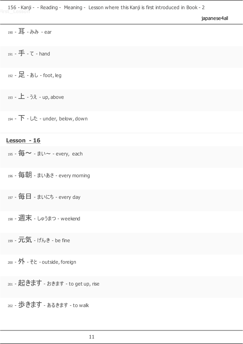|  |  | japanese4all |  |
|--|--|--------------|--|
|  |  |              |  |

<sup>190</sup> - 耳 - みみ - ear

<sup>191</sup> - 手 - て - hand

<sup>192</sup> - 足 - あし - foot, leg

193 - 上 - うえ - up, above

194 - 下 - した - under, below, down

# **Lesson - 16**

195 - 毎~ - まい~ - every, each

<sup>196</sup> - 毎朝 - まいあさ - every morning

<sup>197</sup> - 毎日 - まいにち - every day

<sup>198</sup> - 週末 - しゅうまつ - weekend

<sup>199</sup> - 元気 - げんき - be fine

200 - 外 - そと - outside, foreign

201 - 起きます - おきます - to get up, rise

<sup>202</sup> - 歩きます - あるきます - to walk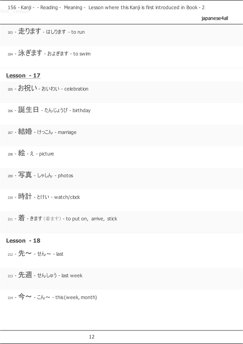japanese4all

<sup>203</sup> - 走ります - はしります - to run

<sup>204</sup> - 泳ぎます - およぎます - to swim

**Lesson - 17**

205 - お祝い - おいわい - celebration

<sup>206</sup> - 誕生日 - たんじょうび - birthday

207 - 結婚 - けっこん - marriage

<sup>208</sup> - 絵 - え - picture

<sup>209</sup> - 写真 - しゃしん - photos

<sup>210</sup> - 時計 - とけい - watch/clock

211 - 着 - きます (着ます) - to put on, arrive, stick

#### **Lesson - 18**

 $_{212}$  -  $\pm \sim$  -  $\pm \sim$  - last

213 - 先週 - せんしゅう - last week

214 -  $\Leftrightarrow \sim$  -  $Lb \sim$  - this (week, month)